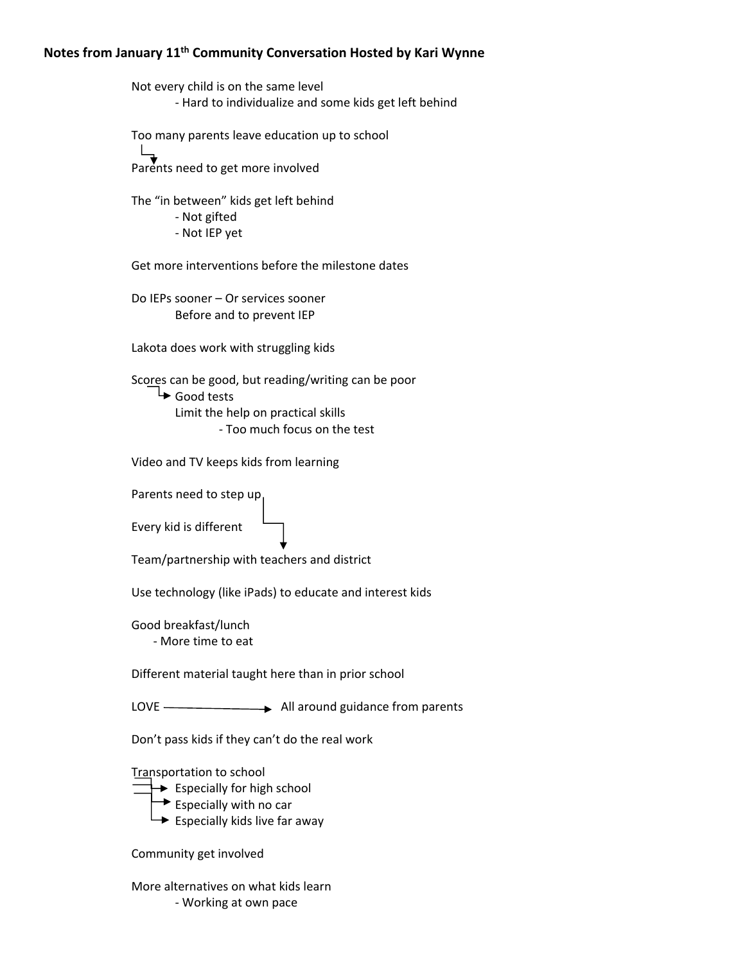# **Notes from January 11th Community Conversation Hosted by Kari Wynne**

Not every child is on the same level ‐ Hard to individualize and some kids get left behind Too many parents leave education up to school Parents need to get more involved The "in between" kids get left behind ‐ Not gifted ‐ Not IEP yet Get more interventions before the milestone dates Do IEPs sooner – Or services sooner Before and to prevent IEP Lakota does work with struggling kids Scores can be good, but reading/writing can be poor Good tests Limit the help on practical skills ‐ Too much focus on the test Video and TV keeps kids from learning Parents need to step up Every kid is different Team/partnership with teachers and district Use technology (like iPads) to educate and interest kids Good breakfast/lunch ‐ More time to eat Different material taught here than in prior school LOVE All around guidance from parents Don't pass kids if they can't do the real work Transportation to school  $\rightarrow$  Especially for high school  $\rightarrow$  Especially with no car  $\rightarrow$  Especially kids live far away Community get involved

More alternatives on what kids learn ‐ Working at own pace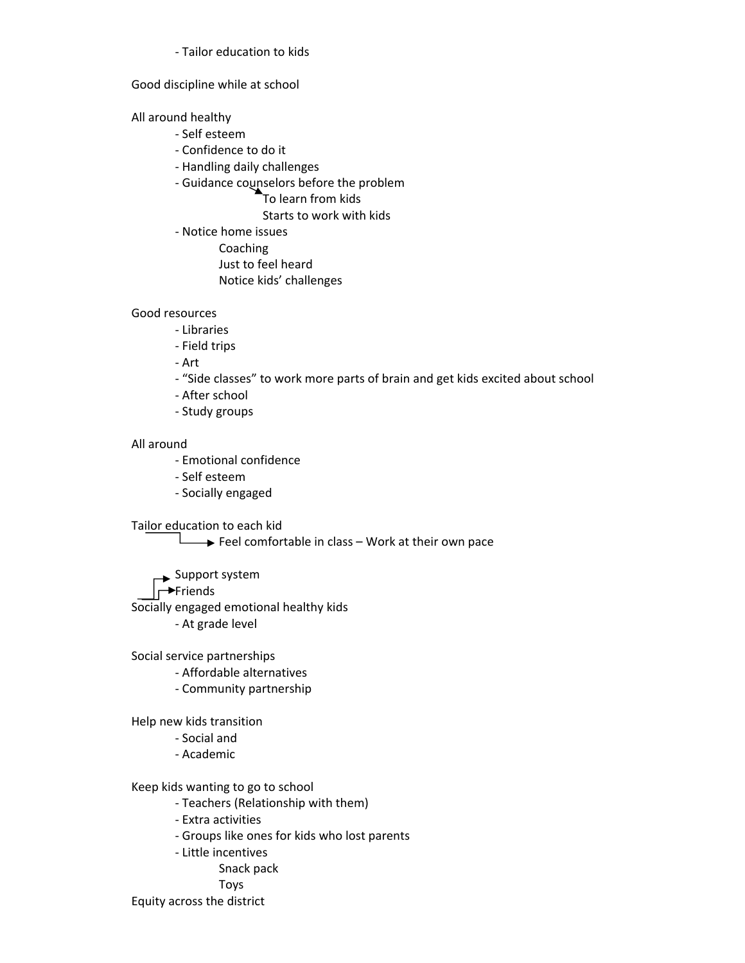‐ Tailor education to kids

### Good discipline while at school

## All around healthy

- ‐ Self esteem
- ‐ Confidence to do it
- ‐ Handling daily challenges
- ‐ Guidance counselors before the problem

To learn from kids

Starts to work with kids

- ‐ Notice home issues
	- Coaching
	- Just to feel heard
	- Notice kids' challenges

## Good resources

- ‐ Libraries
- ‐ Field trips
- ‐ Art
- ‐ "Side classes" to work more parts of brain and get kids excited about school
- ‐ After school
- ‐ Study groups

## All around

- ‐ Emotional confidence
- ‐ Self esteem
- ‐ Socially engaged

Tailor education to each kid

 $\overline{\phantom{a}}$  Feel comfortable in class – Work at their own pace

**→ Support system** 

## $\rightarrow$ Friends

Socially engaged emotional healthy kids

‐ At grade level

Social service partnerships

- ‐ Affordable alternatives
- ‐ Community partnership

Help new kids transition

- ‐ Social and
- ‐ Academic

Keep kids wanting to go to school

- ‐ Teachers (Relationship with them)
- ‐ Extra activities
- ‐ Groups like ones for kids who lost parents
- ‐ Little incentives
	- Snack pack
	- Toys

Equity across the district